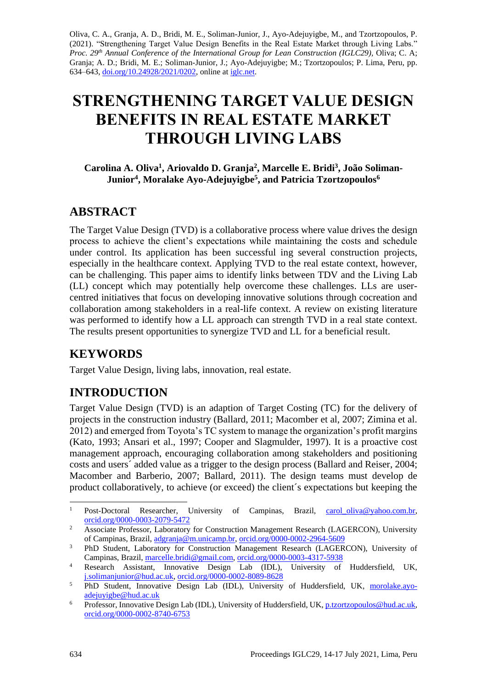Oliva, C. A., Granja, A. D., Bridi, M. E., Soliman-Junior, J., Ayo-Adejuyigbe, M., and Tzortzopoulos, P. (2021). "Strengthening Target Value Design Benefits in the Real Estate Market through Living Labs." *Proc. 29th Annual Conference of the International Group for Lean Construction (IGLC29),* Oliva; C. A; Granja; A. D.; Bridi, M. E.; Soliman-Junior, J.; Ayo-Adejuyigbe; M.; Tzortzopoulos; P. Lima, Peru, pp. 634–643, [doi.org/10.24928/2021/0202,](https://doi.org/10.24928/2021/0202) online a[t iglc.net.](http://iglc.net/)

# **STRENGTHENING TARGET VALUE DESIGN BENEFITS IN REAL ESTATE MARKET THROUGH LIVING LABS**

**Carolina A. Oliva<sup>1</sup> , Ariovaldo D. Granja<sup>2</sup> , Marcelle E. Bridi<sup>3</sup> , João Soliman-Junior<sup>4</sup> , Moralake Ayo-Adejuyigbe<sup>5</sup> , and Patricia Tzortzopoulos<sup>6</sup>**

## **ABSTRACT**

The Target Value Design (TVD) is a collaborative process where value drives the design process to achieve the client's expectations while maintaining the costs and schedule under control. Its application has been successful ing several construction projects, especially in the healthcare context. Applying TVD to the real estate context, however, can be challenging. This paper aims to identify links between TDV and the Living Lab (LL) concept which may potentially help overcome these challenges. LLs are usercentred initiatives that focus on developing innovative solutions through cocreation and collaboration among stakeholders in a real-life context. A review on existing literature was performed to identify how a LL approach can strength TVD in a real state context. The results present opportunities to synergize TVD and LL for a beneficial result.

## **KEYWORDS**

Target Value Design, living labs, innovation, real estate.

# **INTRODUCTION**

Target Value Design (TVD) is an adaption of Target Costing (TC) for the delivery of projects in the construction industry (Ballard, 2011; Macomber et al, 2007; Zimina et al. 2012) and emerged from Toyota's TC system to manage the organization's profit margins (Kato, 1993; Ansari et al., 1997; Cooper and Slagmulder, 1997). It is a proactive cost management approach, encouraging collaboration among stakeholders and positioning costs and users´ added value as a trigger to the design process (Ballard and Reiser, 2004; Macomber and Barberio, 2007; Ballard, 2011). The design teams must develop de product collaboratively, to achieve (or exceed) the client´s expectations but keeping the

<sup>&</sup>lt;sup>1</sup> Post-Doctoral Researcher, University of Campinas, Brazil, [carol\\_oliva@yahoo.com.br,](mailto:carol_oliva@yahoo.com.br) [orcid.org/0000-0003-2079-5472](https://orcid.org/0000-0003-2079-5472)

<sup>&</sup>lt;sup>2</sup> Associate Professor, Laboratory for Construction Management Research (LAGERCON), University of Campinas, Brazil, [adgranja@m.unicamp.br,](mailto:adgranja@m.unicamp.br) [orcid.org/0000-0002-2964-5609](https://orcid.org/0000-0002-2964-5609)

<sup>&</sup>lt;sup>3</sup> PhD Student, Laboratory for Construction Management Research (LAGERCON), University of Campinas, Brazil[, marcelle.bridi@gmail.com,](mailto:marcelle.bridi@gmail.com) [orcid.org/0000-0003-4317-5938](https://orcid.org/0000-0003-4317-5938)

<sup>4</sup> Research Assistant, Innovative Design Lab (IDL), University of Huddersfield, UK, [j.solimanjunior@hud.ac.uk,](mailto:j.solimanjunior@hud.ac.uk) [orcid.org/0000-0002-8089-8628](https://orcid.org/0000-0002-8089-8628)

<sup>&</sup>lt;sup>5</sup> PhD Student, Innovative Design Lab (IDL), University of Huddersfield, UK, [morolake.ayo](mailto:morolake.ayo-adejuyigbe@hud.ac.uk)[adejuyigbe@hud.ac.uk](mailto:morolake.ayo-adejuyigbe@hud.ac.uk)

<sup>6</sup> Professor, Innovative Design Lab (IDL), University of Huddersfield, UK[, p.tzortzopoulos@hud.ac.uk,](mailto:p.tzortzopoulos@hud.ac.uk) [orcid.org/0000-0002-8740-6753](https://orcid.org/0000-0002-8740-6753)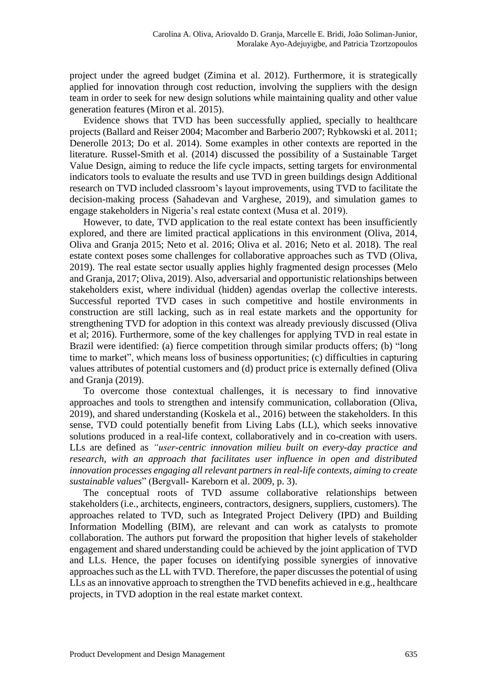project under the agreed budget (Zimina et al. 2012). Furthermore, it is strategically applied for innovation through cost reduction, involving the suppliers with the design team in order to seek for new design solutions while maintaining quality and other value generation features (Miron et al. 2015).

Evidence shows that TVD has been successfully applied, specially to healthcare projects (Ballard and Reiser 2004; Macomber and Barberio 2007; Rybkowski et al. 2011; Denerolle 2013; Do et al. 2014). Some examples in other contexts are reported in the literature. Russel-Smith et al. (2014) discussed the possibility of a Sustainable Target Value Design, aiming to reduce the life cycle impacts, setting targets for environmental indicators tools to evaluate the results and use TVD in green buildings design Additional research on TVD included classroom's layout improvements, using TVD to facilitate the decision-making process (Sahadevan and Varghese, 2019), and simulation games to engage stakeholders in Nigeria's real estate context (Musa et al. 2019).

However, to date, TVD application to the real estate context has been insufficiently explored, and there are limited practical applications in this environment (Oliva, 2014, Oliva and Granja 2015; Neto et al. 2016; Oliva et al. 2016; Neto et al. 2018). The real estate context poses some challenges for collaborative approaches such as TVD (Oliva, 2019). The real estate sector usually applies highly fragmented design processes (Melo and Granja, 2017; Oliva, 2019). Also, adversarial and opportunistic relationships between stakeholders exist, where individual (hidden) agendas overlap the collective interests. Successful reported TVD cases in such competitive and hostile environments in construction are still lacking, such as in real estate markets and the opportunity for strengthening TVD for adoption in this context was already previously discussed (Oliva et al; 2016). Furthermore, some of the key challenges for applying TVD in real estate in Brazil were identified: (a) fierce competition through similar products offers; (b) "long time to market", which means loss of business opportunities; (c) difficulties in capturing values attributes of potential customers and (d) product price is externally defined (Oliva and Granja (2019).

To overcome those contextual challenges, it is necessary to find innovative approaches and tools to strengthen and intensify communication, collaboration (Oliva, 2019), and shared understanding (Koskela et al., 2016) between the stakeholders. In this sense, TVD could potentially benefit from Living Labs (LL), which seeks innovative solutions produced in a real-life context, collaboratively and in co-creation with users. LLs are defined as *"user-centric innovation milieu built on every-day practice and*  research, with an approach that facilitates user influence in open and distributed *innovation processes engaging all relevant partners in real-life contexts, aiming to create sustainable values*" (Bergvall- Kareborn et al. 2009, p. 3).

The conceptual roots of TVD assume collaborative relationships between stakeholders (i.e., architects, engineers, contractors, designers, suppliers, customers). The approaches related to TVD, such as Integrated Project Delivery (IPD) and Building Information Modelling (BIM), are relevant and can work as catalysts to promote collaboration. The authors put forward the proposition that higher levels of stakeholder engagement and shared understanding could be achieved by the joint application of TVD and LLs. Hence, the paper focuses on identifying possible synergies of innovative approaches such as the LL with TVD. Therefore, the paper discussesthe potential of using LLs as an innovative approach to strengthen the TVD benefits achieved in e.g., healthcare projects, in TVD adoption in the real estate market context.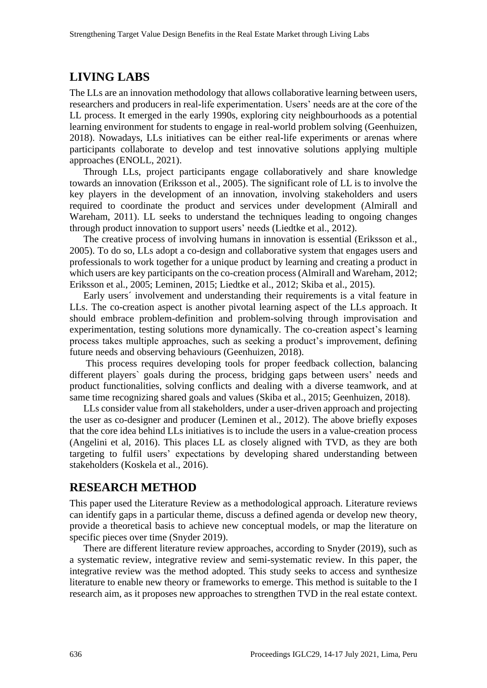## **LIVING LABS**

The LLs are an innovation methodology that allows collaborative learning between users, researchers and producers in real-life experimentation. Users' needs are at the core of the LL process. It emerged in the early 1990s, exploring city neighbourhoods as a potential learning environment for students to engage in real-world problem solving (Geenhuizen, 2018). Nowadays, LLs initiatives can be either real-life experiments or arenas where participants collaborate to develop and test innovative solutions applying multiple approaches (ENOLL, 2021).

Through LLs, project participants engage collaboratively and share knowledge towards an innovation (Eriksson et al., 2005). The significant role of LL is to involve the key players in the development of an innovation, involving stakeholders and users required to coordinate the product and services under development (Almirall and Wareham, 2011). LL seeks to understand the techniques leading to ongoing changes through product innovation to support users' needs (Liedtke et al., 2012).

The creative process of involving humans in innovation is essential (Eriksson et al., 2005). To do so, LLs adopt a co-design and collaborative system that engages users and professionals to work together for a unique product by learning and creating a product in which users are key participants on the co-creation process (Almirall and Wareham, 2012; Eriksson et al., 2005; Leminen, 2015; Liedtke et al., 2012; Skiba et al., 2015).

Early users´ involvement and understanding their requirements is a vital feature in LLs. The co-creation aspect is another pivotal learning aspect of the LLs approach. It should embrace problem-definition and problem-solving through improvisation and experimentation, testing solutions more dynamically. The co-creation aspect's learning process takes multiple approaches, such as seeking a product's improvement, defining future needs and observing behaviours (Geenhuizen, 2018).

This process requires developing tools for proper feedback collection, balancing different players` goals during the process, bridging gaps between users' needs and product functionalities, solving conflicts and dealing with a diverse teamwork, and at same time recognizing shared goals and values (Skiba et al., 2015; Geenhuizen, 2018).

LLs consider value from all stakeholders, under a user-driven approach and projecting the user as co-designer and producer (Leminen et al., 2012). The above briefly exposes that the core idea behind LLs initiatives is to include the users in a value-creation process (Angelini et al, 2016). This places LL as closely aligned with TVD, as they are both targeting to fulfil users' expectations by developing shared understanding between stakeholders (Koskela et al., 2016).

## **RESEARCH METHOD**

This paper used the Literature Review as a methodological approach. Literature reviews can identify gaps in a particular theme, discuss a defined agenda or develop new theory, provide a theoretical basis to achieve new conceptual models, or map the literature on specific pieces over time (Snyder 2019).

There are different literature review approaches, according to Snyder (2019), such as a systematic review, integrative review and semi-systematic review. In this paper, the integrative review was the method adopted. This study seeks to access and synthesize literature to enable new theory or frameworks to emerge. This method is suitable to the I research aim, as it proposes new approaches to strengthen TVD in the real estate context.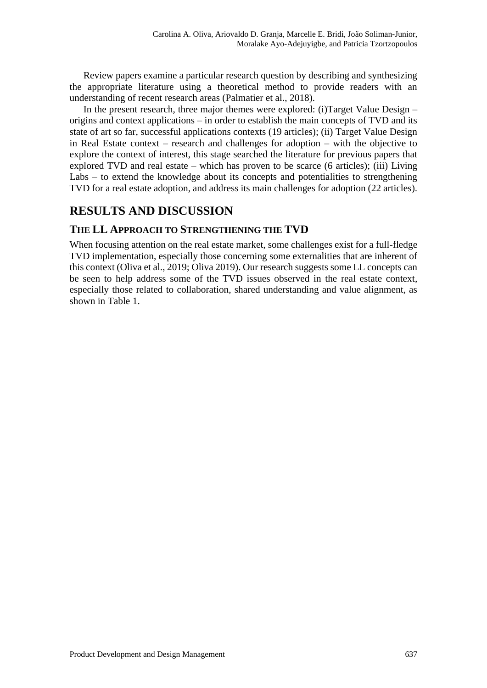Review papers examine a particular research question by describing and synthesizing the appropriate literature using a theoretical method to provide readers with an understanding of recent research areas (Palmatier et al., 2018).

In the present research, three major themes were explored: (i)Target Value Design – origins and context applications – in order to establish the main concepts of TVD and its state of art so far, successful applications contexts (19 articles); (ii) Target Value Design in Real Estate context – research and challenges for adoption – with the objective to explore the context of interest, this stage searched the literature for previous papers that explored TVD and real estate – which has proven to be scarce (6 articles); (iii) Living Labs – to extend the knowledge about its concepts and potentialities to strengthening TVD for a real estate adoption, and address its main challenges for adoption (22 articles).

## **RESULTS AND DISCUSSION**

#### **THE LL APPROACH TO STRENGTHENING THE TVD**

When focusing attention on the real estate market, some challenges exist for a full-fledge TVD implementation, especially those concerning some externalities that are inherent of this context (Oliva et al., 2019; Oliva 2019). Our research suggests some LL concepts can be seen to help address some of the TVD issues observed in the real estate context, especially those related to collaboration, shared understanding and value alignment, as shown in Table 1.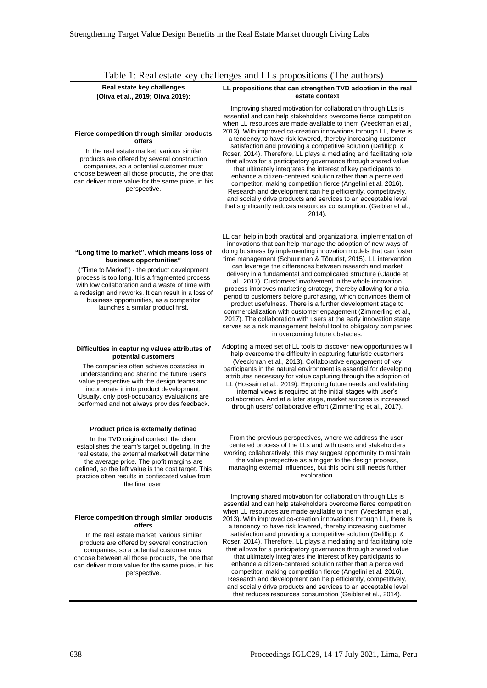| Table 1: Real estate key challenges and LLs propositions (The authors)                                                                                                                                                                                                                                                                                            |                                                                                                                                                                                                                                                                                                                                                                                                                                                                                                                                                                                                                                                                                                                                                                                                                                                                                                                                                                           |
|-------------------------------------------------------------------------------------------------------------------------------------------------------------------------------------------------------------------------------------------------------------------------------------------------------------------------------------------------------------------|---------------------------------------------------------------------------------------------------------------------------------------------------------------------------------------------------------------------------------------------------------------------------------------------------------------------------------------------------------------------------------------------------------------------------------------------------------------------------------------------------------------------------------------------------------------------------------------------------------------------------------------------------------------------------------------------------------------------------------------------------------------------------------------------------------------------------------------------------------------------------------------------------------------------------------------------------------------------------|
| Real estate key challenges<br>(Oliva et al., 2019; Oliva 2019):                                                                                                                                                                                                                                                                                                   | LL propositions that can strengthen TVD adoption in the real<br>estate context                                                                                                                                                                                                                                                                                                                                                                                                                                                                                                                                                                                                                                                                                                                                                                                                                                                                                            |
| Fierce competition through similar products<br>offers<br>In the real estate market, various similar<br>products are offered by several construction<br>companies, so a potential customer must<br>choose between all those products, the one that<br>can deliver more value for the same price, in his<br>perspective.                                            | Improving shared motivation for collaboration through LLs is<br>essential and can help stakeholders overcome fierce competition<br>when LL resources are made available to them (Veeckman et al.,<br>2013). With improved co-creation innovations through LL, there is<br>a tendency to have risk lowered, thereby increasing customer<br>satisfaction and providing a competitive solution (Defillippi &<br>Roser, 2014). Therefore, LL plays a mediating and facilitating role<br>that allows for a participatory governance through shared value<br>that ultimately integrates the interest of key participants to<br>enhance a citizen-centered solution rather than a perceived<br>competitor, making competition fierce (Angelini et al. 2016).<br>Research and development can help efficiently, competitively,<br>and socially drive products and services to an acceptable level<br>that significantly reduces resources consumption. (Geibler et al.,<br>2014). |
| "Long time to market", which means loss of<br>business opportunities"<br>("Time to Market") - the product development<br>process is too long. It is a fragmented process<br>with low collaboration and a waste of time with<br>a redesign and reworks. It can result in a loss of<br>business opportunities, as a competitor<br>launches a similar product first. | LL can help in both practical and organizational implementation of<br>innovations that can help manage the adoption of new ways of<br>doing business by implementing innovation models that can foster<br>time management (Schuurman & Tõnurist, 2015). LL intervention<br>can leverage the differences between research and market<br>delivery in a fundamental and complicated structure (Claude et<br>al., 2017). Customers' involvement in the whole innovation<br>process improves marketing strategy, thereby allowing for a trial<br>period to customers before purchasing, which convinces them of<br>product usefulness. There is a further development stage to<br>commercialization with customer engagement (Zimmerling et al.,<br>2017). The collaboration with users at the early innovation stage<br>serves as a risk management helpful tool to obligatory companies<br>in overcoming future obstacles.                                                   |
| Difficulties in capturing values attributes of<br>potential customers<br>The companies often achieve obstacles in<br>understanding and sharing the future user's<br>value perspective with the design teams and<br>incorporate it into product development.<br>Usually, only post-occupancy evaluations are<br>performed and not always provides feedback.        | Adopting a mixed set of LL tools to discover new opportunities will<br>help overcome the difficulty in capturing futuristic customers<br>(Veeckman et al., 2013). Collaborative engagement of key<br>participants in the natural environment is essential for developing<br>attributes necessary for value capturing through the adoption of<br>LL (Hossain et al., 2019). Exploring future needs and validating<br>internal views is required at the initial stages with user's<br>collaboration. And at a later stage, market success is increased<br>through users' collaborative effort (Zimmerling et al., 2017).                                                                                                                                                                                                                                                                                                                                                    |
| Product price is externally defined                                                                                                                                                                                                                                                                                                                               |                                                                                                                                                                                                                                                                                                                                                                                                                                                                                                                                                                                                                                                                                                                                                                                                                                                                                                                                                                           |
| In the TVD original context, the client<br>establishes the team's target budgeting. In the<br>real estate, the external market will determine<br>the average price. The profit margins are<br>defined, so the left value is the cost target. This<br>practice often results in confiscated value from<br>the final user.                                          | From the previous perspectives, where we address the user-<br>centered process of the LLs and with users and stakeholders<br>working collaboratively, this may suggest opportunity to maintain<br>the value perspective as a trigger to the design process,<br>managing external influences, but this point still needs further<br>exploration.                                                                                                                                                                                                                                                                                                                                                                                                                                                                                                                                                                                                                           |
| Fierce competition through similar products<br>offers<br>In the real estate market, various similar<br>products are offered by several construction<br>companies, so a potential customer must<br>choose between all those products, the one that<br>can deliver more value for the same price, in his<br>perspective.                                            | Improving shared motivation for collaboration through LLs is<br>essential and can help stakeholders overcome fierce competition<br>when LL resources are made available to them (Veeckman et al.,<br>2013). With improved co-creation innovations through LL, there is<br>a tendency to have risk lowered, thereby increasing customer<br>satisfaction and providing a competitive solution (Defillippi &<br>Roser, 2014). Therefore, LL plays a mediating and facilitating role<br>that allows for a participatory governance through shared value<br>that ultimately integrates the interest of key participants to<br>enhance a citizen-centered solution rather than a perceived<br>competitor, making competition fierce (Angelini et al. 2016).<br>Research and development can help efficiently, competitively,<br>and socially drive products and services to an acceptable level                                                                                 |

638 Proceedings IGLC29, 14-17 July 2021, Lima, Peru

that reduces resources consumption (Geibler et al., 2014).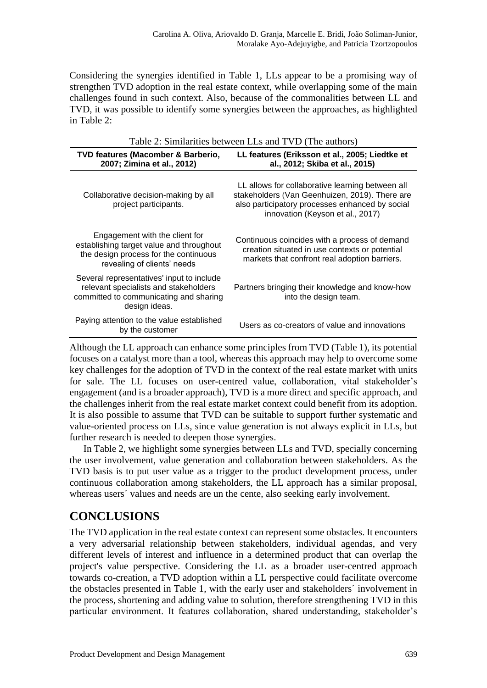Considering the synergies identified in Table 1, LLs appear to be a promising way of strengthen TVD adoption in the real estate context, while overlapping some of the main challenges found in such context. Also, because of the commonalities between LL and TVD, it was possible to identify some synergies between the approaches, as highlighted in Table 2:

| $1$ ave $2$ . Stimiarities between LLS and $1$ VD (The authors)                                                                                    |                                                                                                                                                                                           |
|----------------------------------------------------------------------------------------------------------------------------------------------------|-------------------------------------------------------------------------------------------------------------------------------------------------------------------------------------------|
| TVD features (Macomber & Barberio,<br>2007; Zimina et al., 2012)                                                                                   | LL features (Eriksson et al., 2005; Liedtke et<br>al., 2012; Skiba et al., 2015)                                                                                                          |
| Collaborative decision-making by all<br>project participants.                                                                                      | LL allows for collaborative learning between all<br>stakeholders (Van Geenhuizen, 2019). There are<br>also participatory processes enhanced by social<br>innovation (Keyson et al., 2017) |
| Engagement with the client for<br>establishing target value and throughout<br>the design process for the continuous<br>revealing of clients' needs | Continuous coincides with a process of demand<br>creation situated in use contexts or potential<br>markets that confront real adoption barriers.                                          |
| Several representatives' input to include<br>relevant specialists and stakeholders<br>committed to communicating and sharing<br>design ideas.      | Partners bringing their knowledge and know-how<br>into the design team.                                                                                                                   |
| Paying attention to the value established<br>by the customer                                                                                       | Users as co-creators of value and innovations                                                                                                                                             |

Table 2: Similarities between LLs and TVD (The authors)

Although the LL approach can enhance some principles from TVD (Table 1), its potential focuses on a catalyst more than a tool, whereas this approach may help to overcome some key challenges for the adoption of TVD in the context of the real estate market with units for sale. The LL focuses on user-centred value, collaboration, vital stakeholder's engagement (and is a broader approach), TVD is a more direct and specific approach, and the challenges inherit from the real estate market context could benefit from its adoption. It is also possible to assume that TVD can be suitable to support further systematic and value-oriented process on LLs, since value generation is not always explicit in LLs, but further research is needed to deepen those synergies.

In Table 2, we highlight some synergies between LLs and TVD, specially concerning the user involvement, value generation and collaboration between stakeholders. As the TVD basis is to put user value as a trigger to the product development process, under continuous collaboration among stakeholders, the LL approach has a similar proposal, whereas users' values and needs are un the cente, also seeking early involvement.

## **CONCLUSIONS**

The TVD application in the real estate context can represent some obstacles. It encounters a very adversarial relationship between stakeholders, individual agendas, and very different levels of interest and influence in a determined product that can overlap the project's value perspective. Considering the LL as a broader user-centred approach towards co-creation, a TVD adoption within a LL perspective could facilitate overcome the obstacles presented in Table 1, with the early user and stakeholders´ involvement in the process, shortening and adding value to solution, therefore strengthening TVD in this particular environment. It features collaboration, shared understanding, stakeholder's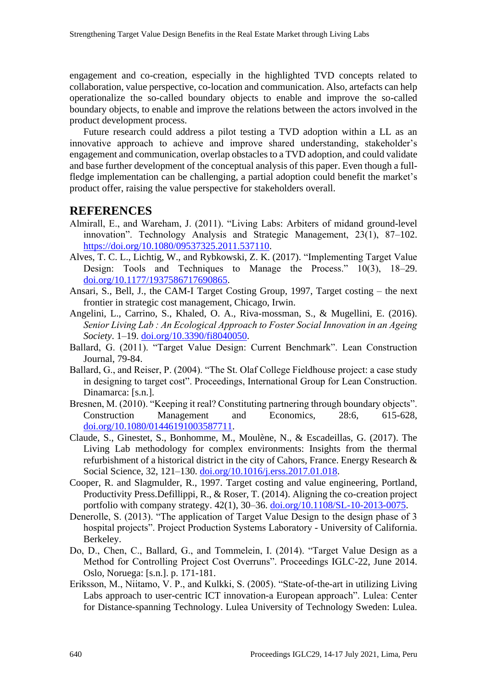engagement and co-creation, especially in the highlighted TVD concepts related to collaboration, value perspective, co-location and communication. Also, artefacts can help operationalize the so-called boundary objects to enable and improve the so-called boundary objects, to enable and improve the relations between the actors involved in the product development process.

Future research could address a pilot testing a TVD adoption within a LL as an innovative approach to achieve and improve shared understanding, stakeholder's engagement and communication, overlap obstacles to a TVD adoption, and could validate and base further development of the conceptual analysis of this paper. Even though a fullfledge implementation can be challenging, a partial adoption could benefit the market's product offer, raising the value perspective for stakeholders overall.

#### **REFERENCES**

- Almirall, E., and Wareham, J. (2011). "Living Labs: Arbiters of midand ground-level innovation". Technology Analysis and Strategic Management, 23(1), 87–102[.](https://doi.org/10.1080/09537325.2011.537110) [https://doi.org/10.1080/09537325.2011.537110.](https://doi.org/10.1080/09537325.2011.537110)
- Alves, T. C. L., Lichtig, W., and Rybkowski, Z. K. (2017). "Implementing Target Value Design: Tools and Techniques to Manage the Process." 10(3), 18–29. [doi.org/10.1177/1937586717690865.](https://doi.org/10.1177/1937586717690865)
- Ansari, S., Bell, J., the CAM-I Target Costing Group, 1997, Target costing the next frontier in strategic cost management, Chicago, Irwin.
- Angelini, L., Carrino, S., Khaled, O. A., Riva-mossman, S., & Mugellini, E. (2016). *Senior Living Lab : An Ecological Approach to Foster Social Innovation in an Ageing Society*. 1–19. [doi.org/10.3390/fi8040050.](https://doi.org/10.3390/fi8040050)
- Ballard, G. (2011). "Target Value Design: Current Benchmark". Lean Construction Journal, 79-84.
- Ballard, G., and Reiser, P. (2004). "The St. Olaf College Fieldhouse project: a case study in designing to target cost". Proceedings, International Group for Lean Construction. Dinamarca: [s.n.].
- Bresnen, M. (2010). "Keeping it real? Constituting partnering through boundary objects". Construction Management and Economics, 28:6, 615-628, [doi.org/10.1080/01446191003587711.](https://doi.org/10.1080/01446191003587711)
- Claude, S., Ginestet, S., Bonhomme, M., Moulène, N., & Escadeillas, G. (2017). The Living Lab methodology for complex environments: Insights from the thermal refurbishment of a historical district in the city of Cahors, France. Energy Research & Social Science, 32, 121–130. [doi.org/10.1016/j.erss.2017.01.018.](https://doi.org/10.1016/j.erss.2017.01.018)
- Cooper, R. and Slagmulder, R., 1997. Target costing and value engineering, Portland, Productivity Press.Defillippi, R., & Roser, T. (2014). Aligning the co-creation project portfolio with company strategy. 42(1), 30–36. [doi.org/10.1108/SL-10-2013-0075.](https://doi.org/10.1108/SL-10-2013-0075)
- Denerolle, S. (2013). "The application of Target Value Design to the design phase of 3 hospital projects". Project Production Systems Laboratory - University of California. Berkeley.
- Do, D., Chen, C., Ballard, G., and Tommelein, I. (2014). "Target Value Design as a Method for Controlling Project Cost Overruns". Proceedings IGLC-22, June 2014. Oslo, Noruega: [s.n.]. p. 171-181.
- Eriksson, M., Niitamo, V. P., and Kulkki, S. (2005). "State-of-the-art in utilizing Living Labs approach to user-centric ICT innovation-a European approach". Lulea: Center for Distance-spanning Technology. Lulea University of Technology Sweden: Lulea.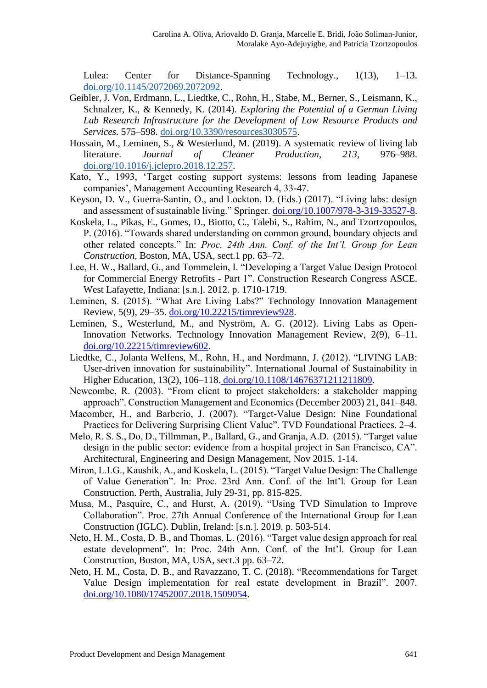Lulea: Center for Distance-Spanning Technology., 1(13), 1–13. [doi.org/10.1145/2072069.2072092.](https://doi.org/10.1145/2072069.2072092)

- Geibler, J. Von, Erdmann, L., Liedtke, C., Rohn, H., Stabe, M., Berner, S., Leismann, K., Schnalzer, K., & Kennedy, K. (2014). *Exploring the Potential of a German Living Lab Research Infrastructure for the Development of Low Resource Products and Services*. 575–598. [doi.org/10.3390/resources3030575.](https://doi.org/10.3390/resources3030575)
- Hossain, M., Leminen, S., & Westerlund, M. (2019). A systematic review of living lab literature. *Journal of Cleaner Production*, *213*, 976–988. [doi.org/10.1016/j.jclepro.2018.12.257.](https://doi.org/10.1016/j.jclepro.2018.12.257)
- Kato, Y., 1993, 'Target costing support systems: lessons from leading Japanese companies', Management Accounting Research 4, 33-47.
- Keyson, D. V., Guerra-Santin, O., and Lockton, D. (Eds.) (2017). "Living labs: design and assessment of sustainable living." Springer. [doi.org/10.1007/978-3-319-33527-8.](https://doi.org/10.1007/978-3-319-33527-8)
- Koskela, L., Pikas, E., Gomes, D., Biotto, C., Talebi, S., Rahim, N., and Tzortzopoulos, P. (2016). "Towards shared understanding on common ground, boundary objects and other related concepts." In: *Proc. 24th Ann. Conf. of the Int'l. Group for Lean Construction*, Boston, MA, USA, sect.1 pp. 63–72.
- Lee, H. W., Ballard, G., and Tommelein, I. "Developing a Target Value Design Protocol for Commercial Energy Retrofits - Part 1". Construction Research Congress ASCE. West Lafayette, Indiana: [s.n.]. 2012. p. 1710-1719.
- Leminen, S. (2015). "What Are Living Labs?" Technology Innovation Management Review, 5(9), 29–35. [doi.org/10.22215/timreview928.](https://doi.org/10.22215/timreview928)
- Leminen, S., Westerlund, M., and Nyström, A. G. (2012). Living Labs as Open-Innovation Networks. Technology Innovation Management Review, 2(9), 6–11. [doi.org/10.22215/timreview602.](https://doi.org/10.22215/timreview602)
- Liedtke, C., Jolanta Welfens, M., Rohn, H., and Nordmann, J. (2012). "LIVING LAB: User-driven innovation for sustainability". International Journal of Sustainability in Higher Education, 13(2), 106–118. [doi.org/10.1108/14676371211211809.](https://doi.org/10.1108/14676371211211809)
- Newcombe, R. (2003). "From client to project stakeholders: a stakeholder mapping approach". Construction Management and Economics (December 2003) 21, 841–848.
- Macomber, H., and Barberio, J. (2007). "Target-Value Design: Nine Foundational Practices for Delivering Surprising Client Value". TVD Foundational Practices. 2–4.
- Melo, R. S. S., Do, D., Tillmman, P., Ballard, G., and Granja, A.D. (2015). "Target value design in the public sector: evidence from a hospital project in San Francisco, CA". Architectural, Engineering and Design Management, Nov 2015. 1-14.
- Miron, L.I.G., Kaushik, A., and Koskela, L. (2015). "Target Value Design: The Challenge of Value Generation". In: Proc. 23rd Ann. Conf. of the Int'l. Group for Lean Construction. Perth, Australia, July 29-31, pp. 815-825.
- Musa, M., Pasquire, C., and Hurst, A. (2019). "Using TVD Simulation to Improve Collaboration". Proc. 27th Annual Conference of the International Group for Lean Construction (IGLC). Dublin, Ireland: [s.n.]. 2019. p. 503-514.
- Neto, H. M., Costa, D. B., and Thomas, L. (2016). "Target value design approach for real estate development". In: Proc. 24th Ann. Conf. of the Int'l. Group for Lean Construction, Boston, MA, USA, sect.3 pp. 63–72.
- Neto, H. M., Costa, D. B., and Ravazzano, T. C. (2018). "Recommendations for Target Value Design implementation for real estate development in Brazil". 2007. [doi.org/10.1080/17452007.2018.1509054.](https://doi.org/10.1080/17452007.2018.1509054)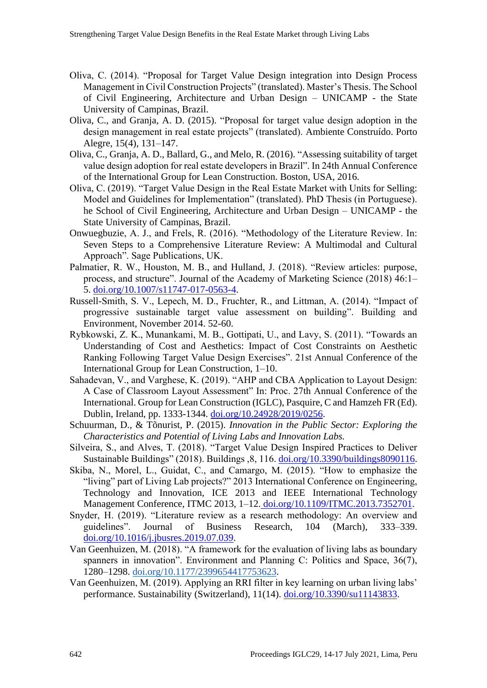- Oliva, C. (2014). "Proposal for Target Value Design integration into Design Process Management in Civil Construction Projects" (translated). Master's Thesis. The School of Civil Engineering, Architecture and Urban Design – UNICAMP - the State University of Campinas, Brazil.
- Oliva, C., and Granja, A. D. (2015). "Proposal for target value design adoption in the design management in real estate projects" (translated). Ambiente Construído. Porto Alegre, 15(4), 131–147.
- Oliva, C., Granja, A. D., Ballard, G., and Melo, R. (2016). "Assessing suitability of target value design adoption for real estate developers in Brazil". In 24th Annual Conference of the International Group for Lean Construction. Boston, USA, 2016.
- Oliva, C. (2019). "Target Value Design in the Real Estate Market with Units for Selling: Model and Guidelines for Implementation" (translated). PhD Thesis (in Portuguese). he School of Civil Engineering, Architecture and Urban Design – UNICAMP - the State University of Campinas, Brazil.
- [Onwuegbuzie,](https://www.amazon.com.br/s/ref=dp_byline_sr_book_1?ie=UTF8&field-author=Anthony+J.+Onwuegbuzie&text=Anthony+J.+Onwuegbuzie&sort=relevancerank&search-alias=stripbooks) A. J., and Frels, R. (2016). "Methodology of the Literature Review. In: Seven Steps to a Comprehensive Literature Review: A Multimodal and Cultural Approach". Sage Publications, UK.
- Palmatier, R. W., Houston, M. B., and Hulland, J. (2018). "Review articles: purpose, process, and structure". Journal of the Academy of Marketing Science (2018) 46:1– 5. [doi.org/10.1007/s11747-017-0563-4.](https://doi.org/10.1007/s11747-017-0563-4)
- Russell-Smith, S. V., Lepech, M. D., Fruchter, R., and Littman, A. (2014). "Impact of progressive sustainable target value assessment on building". Building and Environment, November 2014. 52-60.
- Rybkowski, Z. K., Munankami, M. B., Gottipati, U., and Lavy, S. (2011). "Towards an Understanding of Cost and Aesthetics: Impact of Cost Constraints on Aesthetic Ranking Following Target Value Design Exercises". 21st Annual Conference of the International Group for Lean Construction, 1–10.
- Sahadevan, V., and Varghese, K. (2019). "AHP and CBA Application to Layout Design: A Case of Classroom Layout Assessment" In: Proc. 27th Annual Conference of the International. Group for Lean Construction (IGLC), Pasquire, C and Hamzeh FR (Ed). Dublin, Ireland, pp. 1333-1344. [doi.org/10.24928/2019/0256.](https://doi.org/10.24928/2019/0256)
- Schuurman, D., & Tõnurist, P. (2015). *Innovation in the Public Sector: Exploring the Characteristics and Potential of Living Labs and Innovation Labs.*
- Silveira, S., and Alves, T. (2018). "Target Value Design Inspired Practices to Deliver Sustainable Buildings" (2018). Buildings ,8, 116. [doi.org/10.3390/buildings8090116.](https://doi.org/10.3390/buildings8090116)
- Skiba, N., Morel, L., Guidat, C., and Camargo, M. (2015). "How to emphasize the "living" part of Living Lab projects?" 2013 International Conference on Engineering, Technology and Innovation, ICE 2013 and IEEE International Technology Management Conference, ITMC 2013, 1–12. [doi.org/10.1109/ITMC.2013.7352701.](https://doi.org/10.1109/ITMC.2013.7352701)
- Snyder, H. (2019). "Literature review as a research methodology: An overview and guidelines". Journal of Business Research, 104 (March), 333–339[.](https://doi.org/10.1016/j.jbusres.2019.07.039) [doi.org/10.1016/j.jbusres.2019.07.039.](https://doi.org/10.1016/j.jbusres.2019.07.039)
- Van Geenhuizen, M. (2018). "A framework for the evaluation of living labs as boundary spanners in innovation". Environment and Planning C: Politics and Space, 36(7), 1280–1298. [doi.org/10.1177/2399654417753623.](https://doi.org/10.1177/2399654417753623)
- Van Geenhuizen, M. (2019). Applying an RRI filter in key learning on urban living labs' performance. Sustainability (Switzerland), 11(14). [doi.org/10.3390/su11143833.](https://doi.org/10.3390/su11143833)